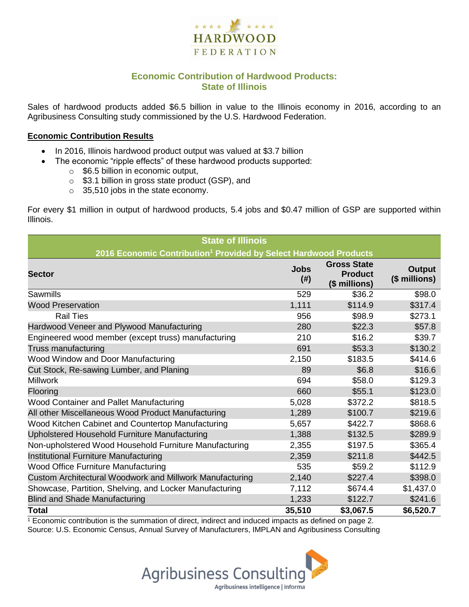

## **Economic Contribution of Hardwood Products: State of Illinois**

Sales of hardwood products added \$6.5 billion in value to the Illinois economy in 2016, according to an Agribusiness Consulting study commissioned by the U.S. Hardwood Federation.

#### **Economic Contribution Results**

- In 2016, Illinois hardwood product output was valued at \$3.7 billion
	- The economic "ripple effects" of these hardwood products supported:
		- $\circ$  \$6.5 billion in economic output,
		- o \$3.1 billion in gross state product (GSP), and
		- o 35,510 jobs in the state economy.

For every \$1 million in output of hardwood products, 5.4 jobs and \$0.47 million of GSP are supported within Illinois.

| <b>State of Illinois</b>                                                     |                     |                                                       |                         |  |  |  |
|------------------------------------------------------------------------------|---------------------|-------------------------------------------------------|-------------------------|--|--|--|
| 2016 Economic Contribution <sup>1</sup> Provided by Select Hardwood Products |                     |                                                       |                         |  |  |  |
| <b>Sector</b>                                                                | <b>Jobs</b><br>(# ) | <b>Gross State</b><br><b>Product</b><br>(\$ millions) | Output<br>(\$ millions) |  |  |  |
| Sawmills                                                                     | 529                 | \$36.2                                                | \$98.0                  |  |  |  |
| <b>Wood Preservation</b>                                                     | 1,111               | \$114.9                                               | \$317.4                 |  |  |  |
| <b>Rail Ties</b>                                                             | 956                 | \$98.9                                                | \$273.1                 |  |  |  |
| Hardwood Veneer and Plywood Manufacturing                                    | 280                 | \$22.3                                                | \$57.8                  |  |  |  |
| Engineered wood member (except truss) manufacturing                          | 210                 | \$16.2                                                | \$39.7                  |  |  |  |
| Truss manufacturing                                                          | 691                 | \$53.3                                                | \$130.2                 |  |  |  |
| Wood Window and Door Manufacturing                                           | 2,150               | \$183.5                                               | \$414.6                 |  |  |  |
| Cut Stock, Re-sawing Lumber, and Planing                                     | 89                  | \$6.8                                                 | \$16.6                  |  |  |  |
| <b>Millwork</b>                                                              | 694                 | \$58.0                                                | \$129.3                 |  |  |  |
| Flooring                                                                     | 660                 | \$55.1                                                | \$123.0                 |  |  |  |
| Wood Container and Pallet Manufacturing                                      | 5,028               | \$372.2                                               | \$818.5                 |  |  |  |
| All other Miscellaneous Wood Product Manufacturing                           | 1,289               | \$100.7                                               | \$219.6                 |  |  |  |
| Wood Kitchen Cabinet and Countertop Manufacturing                            | 5,657               | \$422.7                                               | \$868.6                 |  |  |  |
| Upholstered Household Furniture Manufacturing                                | 1,388               | \$132.5                                               | \$289.9                 |  |  |  |
| Non-upholstered Wood Household Furniture Manufacturing                       | 2,355               | \$197.5                                               | \$365.4                 |  |  |  |
| Institutional Furniture Manufacturing                                        | 2,359               | \$211.8                                               | \$442.5                 |  |  |  |
| Wood Office Furniture Manufacturing                                          | 535                 | \$59.2                                                | \$112.9                 |  |  |  |
| Custom Architectural Woodwork and Millwork Manufacturing                     | 2,140               | \$227.4                                               | \$398.0                 |  |  |  |
| Showcase, Partition, Shelving, and Locker Manufacturing                      | 7,112               | \$674.4                                               | \$1,437.0               |  |  |  |
| <b>Blind and Shade Manufacturing</b>                                         | 1,233               | \$122.7                                               | \$241.6                 |  |  |  |
| <b>Total</b>                                                                 | 35,510              | \$3,067.5                                             | \$6,520.7               |  |  |  |

 $1$  Economic contribution is the summation of direct, indirect and induced impacts as defined on page 2. Source: U.S. Economic Census, Annual Survey of Manufacturers, IMPLAN and Agribusiness Consulting